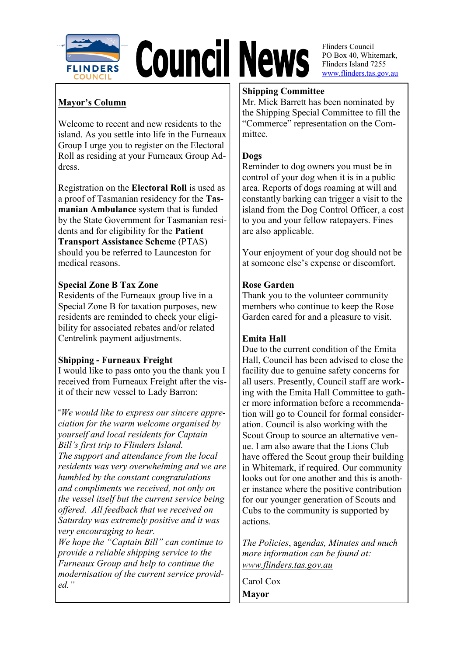

# **Council News**

**Mayor's Column**

Welcome to recent and new residents to the island. As you settle into life in the Furneaux Group I urge you to register on the Electoral Roll as residing at your Furneaux Group Address.

Registration on the **Electoral Roll** is used as a proof of Tasmanian residency for the **Tasmanian Ambulance** system that is funded by the State Government for Tasmanian residents and for eligibility for the **Patient Transport Assistance Scheme** (PTAS) should you be referred to Launceston for medical reasons.

## **Special Zone B Tax Zone**

Residents of the Furneaux group live in a Special Zone B for taxation purposes, new residents are reminded to check your eligibility for associated rebates and/or related Centrelink payment adjustments.

# **Shipping - Furneaux Freight**

I would like to pass onto you the thank you I received from Furneaux Freight after the visit of their new vessel to Lady Barron:

"*We would like to express our sincere appreciation for the warm welcome organised by yourself and local residents for Captain Bill's first trip to Flinders Island. The support and attendance from the local residents was very overwhelming and we are humbled by the constant congratulations and compliments we received, not only on the vessel itself but the current service being offered. All feedback that we received on Saturday was extremely positive and it was very encouraging to hear. We hope the "Captain Bill" can continue to provide a reliable shipping service to the Furneaux Group and help to continue the modernisation of the current service provided."*

# **Shipping Committee**

Mr. Mick Barrett has been nominated by the Shipping Special Committee to fill the "Commerce" representation on the Committee.

## **Dogs**

Reminder to dog owners you must be in control of your dog when it is in a public area. Reports of dogs roaming at will and constantly barking can trigger a visit to the island from the Dog Control Officer, a cost to you and your fellow ratepayers. Fines are also applicable.

Your enjoyment of your dog should not be at someone else's expense or discomfort.

## **Rose Garden**

Thank you to the volunteer community members who continue to keep the Rose Garden cared for and a pleasure to visit.

# **Emita Hall**

Due to the current condition of the Emita Hall, Council has been advised to close the facility due to genuine safety concerns for all users. Presently, Council staff are working with the Emita Hall Committee to gather more information before a recommendation will go to Council for formal consideration. Council is also working with the Scout Group to source an alternative venue. I am also aware that the Lions Club have offered the Scout group their building in Whitemark, if required. Our community looks out for one another and this is another instance where the positive contribution for our younger generation of Scouts and Cubs to the community is supported by actions.

*The Policies*, ag*endas, Minutes and much more information can be found at: www.flinders.tas.gov.au*

Carol Cox **Mayor**

Flinders Council PO Box 40, Whitemark, Flinders Island 7255 www.flinders.tas.gov.au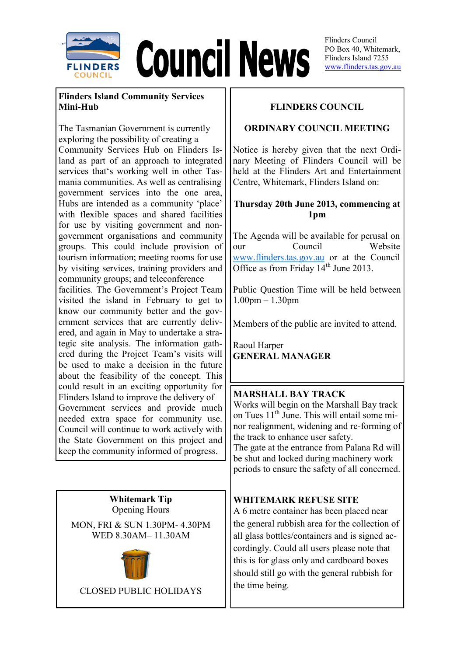

**Council News** 

Flinders Council PO Box 40, Whitemark Flinders Island 7255 www.flinders.tas.gov.au

# **Flinders Island Community Services Mini-Hub**

The Tasmanian Government is currently exploring the possibility of creating a Community Services Hub on Flinders Island as part of an approach to integrated services that's working well in other Tasmania communities. As well as centralising government services into the one area, Hubs are intended as a community 'place' with flexible spaces and shared facilities for use by visiting government and nongovernment organisations and community groups. This could include provision of tourism information; meeting rooms for use by visiting services, training providers and community groups; and teleconference facilities. The Government's Project Team visited the island in February to get to know our community better and the government services that are currently delivered, and again in May to undertake a strategic site analysis. The information gathered during the Project Team's visits will be used to make a decision in the future about the feasibility of the concept. This could result in an exciting opportunity for Flinders Island to improve the delivery of Government services and provide much needed extra space for community use.

Council will continue to work actively with the State Government on this project and keep the community informed of progress.

> **Whitemark Tip**  Opening Hours

MON, FRI & SUN 1.30PM- 4.30PM WED 8.30AM– 11.30AM



CLOSED PUBLIC HOLIDAYS

# **FLINDERS COUNCIL**

# **ORDINARY COUNCIL MEETING**

Notice is hereby given that the next Ordinary Meeting of Flinders Council will be held at the Flinders Art and Entertainment Centre, Whitemark, Flinders Island on:

# **Thursday 20th June 2013, commencing at 1pm**

The Agenda will be available for perusal on our Council Website [www.flinders.tas.gov.au](http://www.flinders.tas.gov.au) or at the Council Office as from Friday 14<sup>th</sup> June 2013.

Public Question Time will be held between 1.00pm – 1.30pm

Members of the public are invited to attend.

Raoul Harper **GENERAL MANAGER**

#### **MARSHALL BAY TRACK**

Works will begin on the Marshall Bay track on Tues  $11<sup>th</sup>$  June. This will entail some minor realignment, widening and re-forming of the track to enhance user safety. The gate at the entrance from Palana Rd will

be shut and locked during machinery work periods to ensure the safety of all concerned.

#### **WHITEMARK REFUSE SITE**

A 6 metre container has been placed near the general rubbish area for the collection of all glass bottles/containers and is signed accordingly. Could all users please note that this is for glass only and cardboard boxes should still go with the general rubbish for the time being.